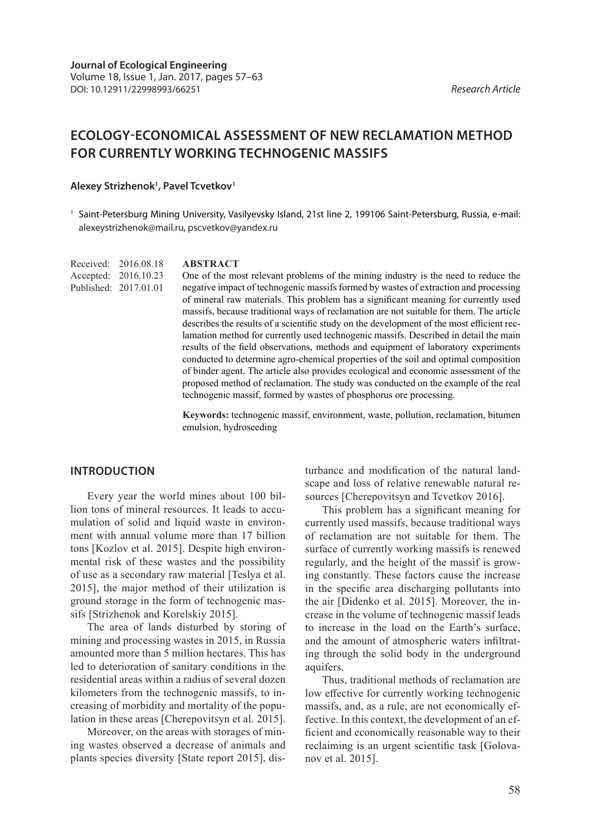# **ECOLOGY-ECONOMICAL ASSESSMENT OF NEW RECLAMATION METHOD FOR CURRENTLY WORKING TECHNOGENIC MASSIFS**

#### **Alexey Strizhenok1 , Pavel Tcvetkov1**

1 Saint-Petersburg Mining University, Vasilyevsky Island, 21st line 2, 199106 Saint-Petersburg, Russia, e-mail: alexeystrizhenok@mail.ru, pscvetkov@yandex.ru

Received: 2016.08.18 Accepted: 2016.10.23 Published: 2017.01.01

#### **ABSTRACT**

One of the most relevant problems of the mining industry is the need to reduce the negative impact of technogenic massifs formed by wastes of extraction and processing of mineral raw materials. This problem has a significant meaning for currently used massifs, because traditional ways of reclamation are not suitable for them. The article describes the results of a scientific study on the development of the most efficient reclamation method for currently used technogenic massifs. Described in detail the main results of the field observations, methods and equipment of laboratory experiments conducted to determine agro-chemical properties of the soil and optimal composition of binder agent. The article also provides ecological and economic assessment of the proposed method of reclamation. The study was conducted on the example of the real technogenic massif, formed by wastes of phosphorus ore processing.

**Keywords:** technogenic massif, environment, waste, pollution, reclamation, bitumen emulsion, hydroseeding

### **INTRODUCTION**

Every year the world mines about 100 billion tons of mineral resources. It leads to accumulation of solid and liquid waste in environment with annual volume more than 17 billion tons [Kozlov et al. 2015]. Despite high environmental risk of these wastes and the possibility of use as a secondary raw material [Teslya et al. 2015], the major method of their utilization is ground storage in the form of technogenic massifs [Strizhenok and Korelskiy 2015].

The area of lands disturbed by storing of mining and processing wastes in 2015, in Russia amounted more than 5 million hectares. This has led to deterioration of sanitary conditions in the residential areas within a radius of several dozen kilometers from the technogenic massifs, to increasing of morbidity and mortality of the population in these areas [Cherepovitsyn et al. 2015].

Moreover, on the areas with storages of mining wastes observed a decrease of animals and plants species diversity [State report 2015], disturbance and modification of the natural landscape and loss of relative renewable natural resources [Cherepovitsyn and Tcvetkov 2016].

This problem has a significant meaning for currently used massifs, because traditional ways of reclamation are not suitable for them. The surface of currently working massifs is renewed regularly, and the height of the massif is growing constantly. These factors cause the increase in the specific area discharging pollutants into the air [Didenko et al. 2015]. Moreover, the increase in the volume of technogenic massif leads to increase in the load on the Earth's surface, and the amount of atmospheric waters infiltrating through the solid body in the underground aquifers.

Thus, traditional methods of reclamation are low effective for currently working technogenic massifs, and, as a rule, are not economically effective. In this context, the development of an efficient and economically reasonable way to their reclaiming is an urgent scientific task [Golovanov et al. 2015].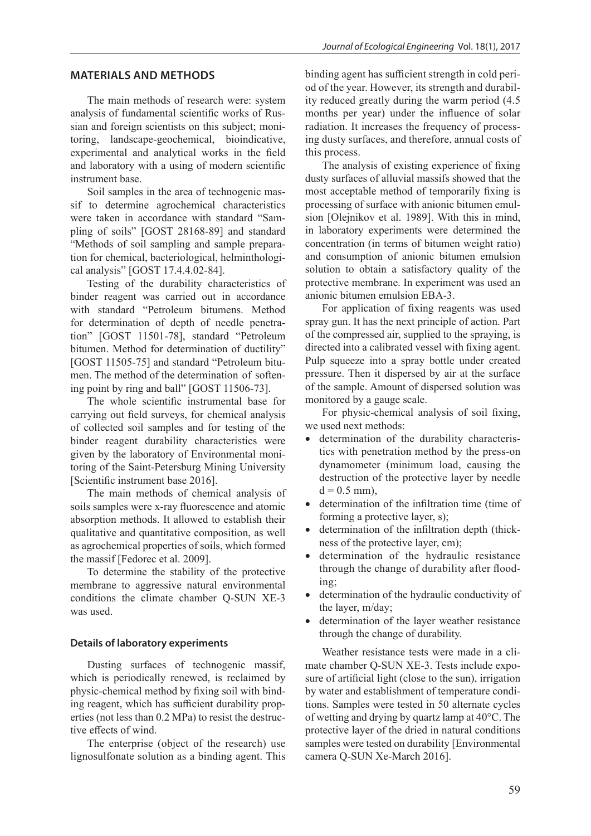## **MATERIALS AND METHODS**

The main methods of research were: system analysis of fundamental scientific works of Russian and foreign scientists on this subject; monitoring, landscape-geochemical, bioindicative, experimental and analytical works in the field and laboratory with a using of modern scientific instrument base.

Soil samples in the area of technogenic massif to determine agrochemical characteristics were taken in accordance with standard "Sampling of soils" [GOST 28168-89] and standard "Methods of soil sampling and sample preparation for chemical, bacteriological, helminthological analysis" [GOST 17.4.4.02-84].

Testing of the durability characteristics of binder reagent was carried out in accordance with standard "Petroleum bitumens. Method for determination of depth of needle penetration" [GOST 11501-78], standard "Petroleum bitumen. Method for determination of ductility" [GOST 11505-75] and standard "Petroleum bitumen. The method of the determination of softening point by ring and ball" [GOST 11506-73].

The whole scientific instrumental base for carrying out field surveys, for chemical analysis of collected soil samples and for testing of the binder reagent durability characteristics were given by the laboratory of Environmental monitoring of the Saint-Petersburg Mining University [Scientific instrument base 2016].

The main methods of chemical analysis of soils samples were x-ray fluorescence and atomic absorption methods. It allowed to establish their qualitative and quantitative composition, as well as agrochemical properties of soils, which formed the massif [Fedorec et al. 2009].

To determine the stability of the protective membrane to aggressive natural environmental conditions the climate chamber Q-SUN XE-3 was used.

#### **Details of laboratory experiments**

Dusting surfaces of technogenic massif, which is periodically renewed, is reclaimed by physic-chemical method by fixing soil with binding reagent, which has sufficient durability properties (not less than 0.2 MPa) to resist the destructive effects of wind.

The enterprise (object of the research) use lignosulfonate solution as a binding agent. This binding agent has sufficient strength in cold period of the year. However, its strength and durability reduced greatly during the warm period (4.5 months per year) under the influence of solar radiation. It increases the frequency of processing dusty surfaces, and therefore, annual costs of this process.

The analysis of existing experience of fixing dusty surfaces of alluvial massifs showed that the most acceptable method of temporarily fixing is processing of surface with anionic bitumen emulsion [Olejnikov et al. 1989]. With this in mind, in laboratory experiments were determined the concentration (in terms of bitumen weight ratio) and consumption of anionic bitumen emulsion solution to obtain a satisfactory quality of the protective membrane. In experiment was used an anionic bitumen emulsion EBA-3.

For application of fixing reagents was used spray gun. It has the next principle of action. Part of the compressed air, supplied to the spraying, is directed into a calibrated vessel with fixing agent. Pulp squeeze into a spray bottle under created pressure. Then it dispersed by air at the surface of the sample. Amount of dispersed solution was monitored by a gauge scale.

For physic-chemical analysis of soil fixing, we used next methods:

- determination of the durability characteristics with penetration method by the press-on dynamometer (minimum load, causing the destruction of the protective layer by needle  $d = 0.5$  mm).
- determination of the infiltration time (time of forming a protective layer, s);
- determination of the infiltration depth (thickness of the protective layer, cm);
- determination of the hydraulic resistance through the change of durability after flooding;
- determination of the hydraulic conductivity of the layer, m/day;
- determination of the layer weather resistance through the change of durability.

Weather resistance tests were made in a climate chamber Q-SUN XE-3. Tests include exposure of artificial light (close to the sun), irrigation by water and establishment of temperature conditions. Samples were tested in 50 alternate cycles of wetting and drying by quartz lamp at 40°C. The protective layer of the dried in natural conditions samples were tested on durability [Environmental camera Q-SUN Xe-March 2016].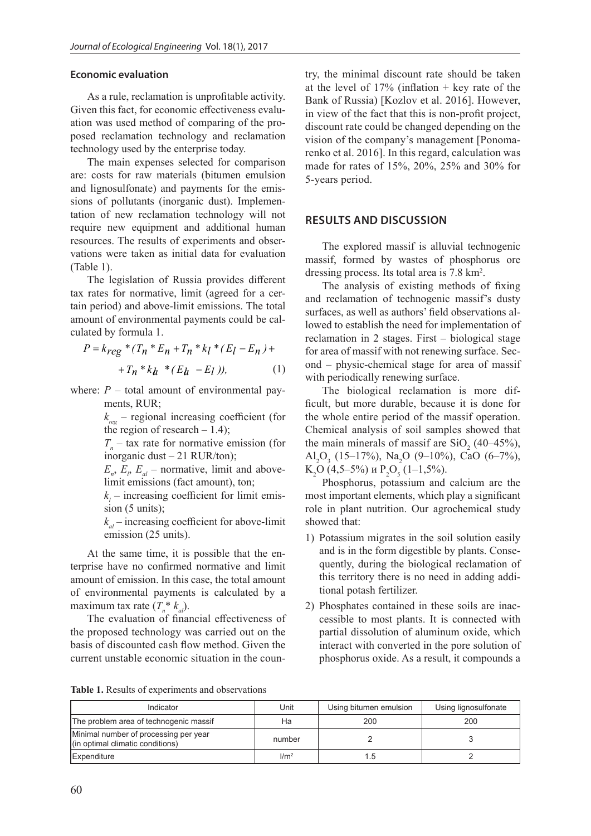#### **Economic evaluation**

As a rule, reclamation is unprofitable activity. Given this fact, for economic effectiveness evaluation was used method of comparing of the proposed reclamation technology and reclamation technology used by the enterprise today.

The main expenses selected for comparison are: costs for raw materials (bitumen emulsion and lignosulfonate) and payments for the emissions of pollutants (inorganic dust). Implementation of new reclamation technology will not require new equipment and additional human resources. The results of experiments and observations were taken as initial data for evaluation (Table 1).

The legislation of Russia provides different tax rates for normative, limit (agreed for a certain period) and above-limit emissions. The total amount of environmental payments could be calculated by formula 1.

$$
P = k_{reg} * (T_n * E_n + T_n * k_l * (E_l - E_n) ++ T_n * k_h * (E_h - E_l)),
$$
 (1)

where:  $P$  – total amount of environmental payments, RUR;

> $k_{\text{rec}}$  – regional increasing coefficient (for the region of research  $-1.4$ );

> $T_n$  – tax rate for normative emission (for inorganic dust – 21 RUR/ton);

 $E_n$ ,  $E_p$ ,  $E_a$  – normative, limit and abovelimit emissions (fact amount), ton;

 $k_{i}$  – increasing coefficient for limit emission (5 units);

 $k_{al}$  – increasing coefficient for above-limit emission (25 units).

At the same time, it is possible that the enterprise have no confirmed normative and limit amount of emission. In this case, the total amount of environmental payments is calculated by a maximum tax rate  $(T_n^* k_{al})$ .

The evaluation of financial effectiveness of the proposed technology was carried out on the basis of discounted cash flow method. Given the current unstable economic situation in the country, the minimal discount rate should be taken at the level of  $17\%$  (inflation + key rate of the Bank of Russia) [Kozlov et al. 2016]. However, in view of the fact that this is non-profit project, discount rate could be changed depending on the vision of the company's management [Ponomarenko et al. 2016]. In this regard, calculation was made for rates of 15%, 20%, 25% and 30% for 5-years period.

#### **RESULTS AND DISCUSSION**

The explored massif is alluvial technogenic massif, formed by wastes of phosphorus ore dressing process. Its total area is 7.8 km<sup>2</sup>.

 $P = k_{reg} * (T_n * E_n + T_n * k_l * (E_l - E_n) +$  for area of massif with not renewing surface. Sec-The analysis of existing methods of fixing and reclamation of technogenic massif's dusty surfaces, as well as authors' field observations allowed to establish the need for implementation of reclamation in 2 stages. First – biological stage ond – physic-chemical stage for area of massif with periodically renewing surface.

> The biological reclamation is more difficult, but more durable, because it is done for the whole entire period of the massif operation. Chemical analysis of soil samples showed that the main minerals of massif are  $SiO_2$  (40–45%), Al<sub>2</sub>O<sub>3</sub> (15–17%), Na<sub>2</sub>O (9–10%), CaO (6–7%),  $K_2O(4, 5-5%)$  и  $P_2O_5(1-1, 5%)$ .

> Phosphorus, potassium and calcium are the most important elements, which play a significant role in plant nutrition. Our agrochemical study showed that:

- 1) Potassium migrates in the soil solution easily and is in the form digestible by plants. Consequently, during the biological reclamation of this territory there is no need in adding additional potash fertilizer.
- 2) Phosphates contained in these soils are inaccessible to most plants. It is connected with partial dissolution of aluminum oxide, which interact with converted in the pore solution of phosphorus oxide. As a result, it compounds a

**Table 1.** Results of experiments and observations

| Indicator                                                                 | Unit             | Using bitumen emulsion | Using lignosulfonate |
|---------------------------------------------------------------------------|------------------|------------------------|----------------------|
| The problem area of technogenic massif                                    | Ha               | 200                    | 200                  |
| Minimal number of processing per year<br>(in optimal climatic conditions) | number           |                        |                      |
| Expenditure                                                               | 1/m <sup>2</sup> | 1.5                    |                      |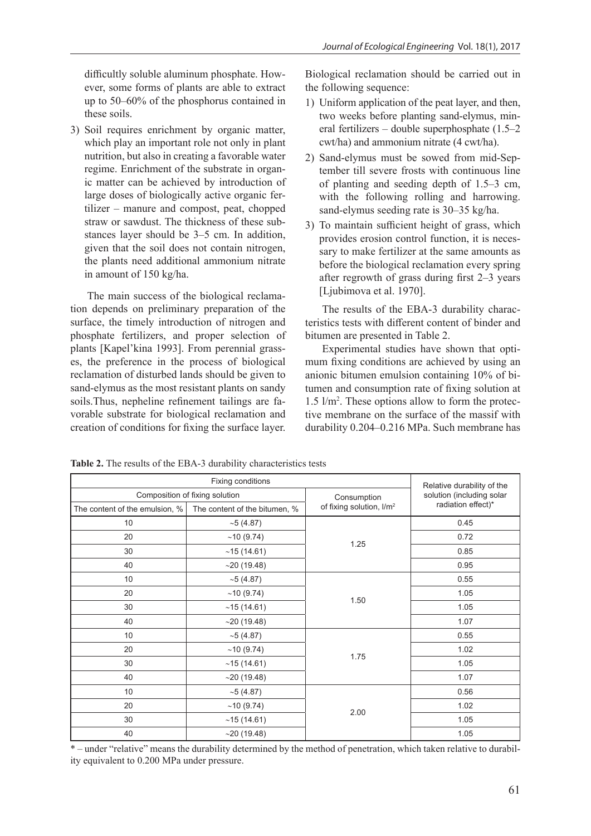difficultly soluble aluminum phosphate. However, some forms of plants are able to extract up to 50–60% of the phosphorus contained in these soils.

3) Soil requires enrichment by organic matter, which play an important role not only in plant nutrition, but also in creating a favorable water regime. Enrichment of the substrate in organic matter can be achieved by introduction of large doses of biologically active organic fertilizer – manure and compost, peat, chopped straw or sawdust. The thickness of these substances layer should be 3–5 cm. In addition, given that the soil does not contain nitrogen, the plants need additional ammonium nitrate in amount of 150 kg/ha.

The main success of the biological reclamation depends on preliminary preparation of the surface, the timely introduction of nitrogen and phosphate fertilizers, and proper selection of plants [Kapel'kina 1993]. From perennial grasses, the preference in the process of biological reclamation of disturbed lands should be given to sand-elymus as the most resistant plants on sandy soils.Thus, nepheline refinement tailings are favorable substrate for biological reclamation and creation of conditions for fixing the surface layer.

Biological reclamation should be carried out in the following sequence:

- 1) Uniform application of the peat layer, and then, two weeks before planting sand-elymus, mineral fertilizers – double superphosphate (1.5–2 cwt/ha) and ammonium nitrate (4 cwt/ha).
- 2) Sand-elymus must be sowed from mid-September till severe frosts with continuous line of planting and seeding depth of 1.5–3 cm, with the following rolling and harrowing. sand-elymus seeding rate is 30–35 kg/ha.
- 3) To maintain sufficient height of grass, which provides erosion control function, it is necessary to make fertilizer at the same amounts as before the biological reclamation every spring after regrowth of grass during first 2–3 years [Ljubimova et al. 1970].

The results of the EBA-3 durability characteristics tests with different content of binder and bitumen are presented in Table 2.

Experimental studies have shown that optimum fixing conditions are achieved by using an anionic bitumen emulsion containing 10% of bitumen and consumption rate of fixing solution at  $1.5 \text{ } \frac{\text{m}}{\text{m}^2}$ . These options allow to form the protective membrane on the surface of the massif with durability 0.204–0.216 MPa. Such membrane has

| Fixing conditions              |                               |                                      | Relative durability of the |
|--------------------------------|-------------------------------|--------------------------------------|----------------------------|
| Composition of fixing solution |                               | Consumption                          | solution (including solar  |
| The content of the emulsion, % | The content of the bitumen, % | of fixing solution, I/m <sup>2</sup> | radiation effect)*         |
| 10                             | $~10-5$ (4.87)                | 1.25                                 | 0.45                       |
| 20                             | ~10(9.74)                     |                                      | 0.72                       |
| 30                             | ~15(14.61)                    |                                      | 0.85                       |
| 40                             | ~19.48)                       |                                      | 0.95                       |
| 10                             | $~10^{-5}$ (4.87)             | 1.50                                 | 0.55                       |
| 20                             | ~10(9.74)                     |                                      | 1.05                       |
| 30                             | ~15(14.61)                    |                                      | 1.05                       |
| 40                             | $~19.48$ )                    |                                      | 1.07                       |
| 10                             | $~10-5$ (4.87)                | 1.75                                 | 0.55                       |
| 20                             | ~10(9.74)                     |                                      | 1.02                       |
| 30                             | ~15(14.61)                    |                                      | 1.05                       |
| 40                             | ~19.48)                       |                                      | 1.07                       |
| 10                             | ~5(4.87)                      | 2.00                                 | 0.56                       |
| 20                             | ~10(9.74)                     |                                      | 1.02                       |
| 30                             | ~15(14.61)                    |                                      | 1.05                       |
| 40                             | $~19.48$ )                    |                                      | 1.05                       |

**Table 2.** The results of the EBA-3 durability characteristics tests

\* – under "relative" means the durability determined by the method of penetration, which taken relative to durability equivalent to 0.200 MPa under pressure.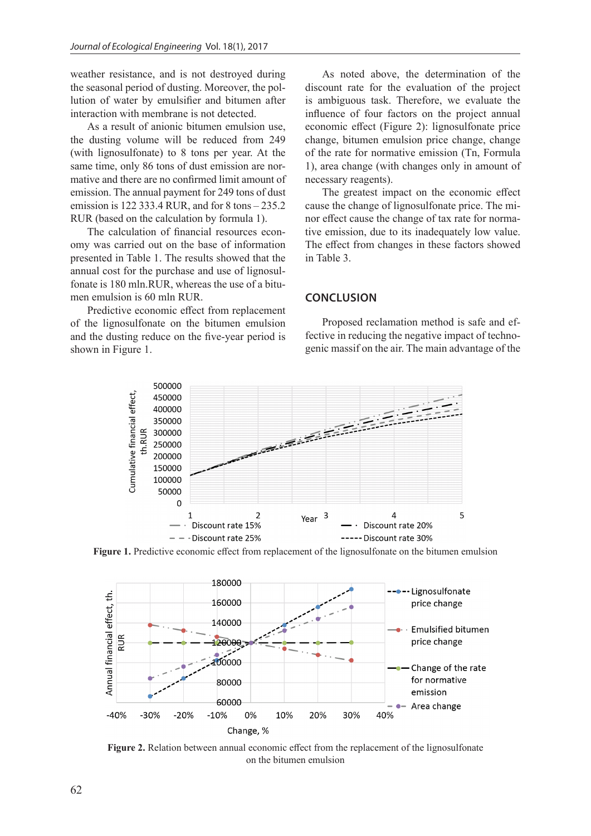weather resistance, and is not destroyed during the seasonal period of dusting. Moreover, the pollution of water by emulsifier and bitumen after interaction with membrane is not detected.

As a result of anionic bitumen emulsion use, the dusting volume will be reduced from 249 (with lignosulfonate) to 8 tons per year. At the same time, only 86 tons of dust emission are normative and there are no confirmed limit amount of emission. The annual payment for 249 tons of dust emission is 122 333.4 RUR, and for 8 tons – 235.2 RUR (based on the calculation by formula 1).

The calculation of financial resources economy was carried out on the base of information presented in Table 1. The results showed that the annual cost for the purchase and use of lignosulfonate is 180 mln.RUR, whereas the use of a bitumen emulsion is 60 mln RUR.

Predictive economic effect from replacement of the lignosulfonate on the bitumen emulsion and the dusting reduce on the five-year period is shown in Figure 1.

As noted above, the determination of the discount rate for the evaluation of the project is ambiguous task. Therefore, we evaluate the influence of four factors on the project annual economic effect (Figure 2): lignosulfonate price change, bitumen emulsion price change, change of the rate for normative emission (Tn, Formula 1), area change (with changes only in amount of necessary reagents).

The greatest impact on the economic effect cause the change of lignosulfonate price. The minor effect cause the change of tax rate for normative emission, due to its inadequately low value. The effect from changes in these factors showed in Table 3.

### **CONCLUSION**

Proposed reclamation method is safe and effective in reducing the negative impact of technogenic massif on the air. The main advantage of the



**Figure 1.** Predictive economic effect from replacement of the lignosulfonate on the bitumen emulsion



**Figure 2.** Relation between annual economic effect from the replacement of the lignosulfonate on the bitumen emulsion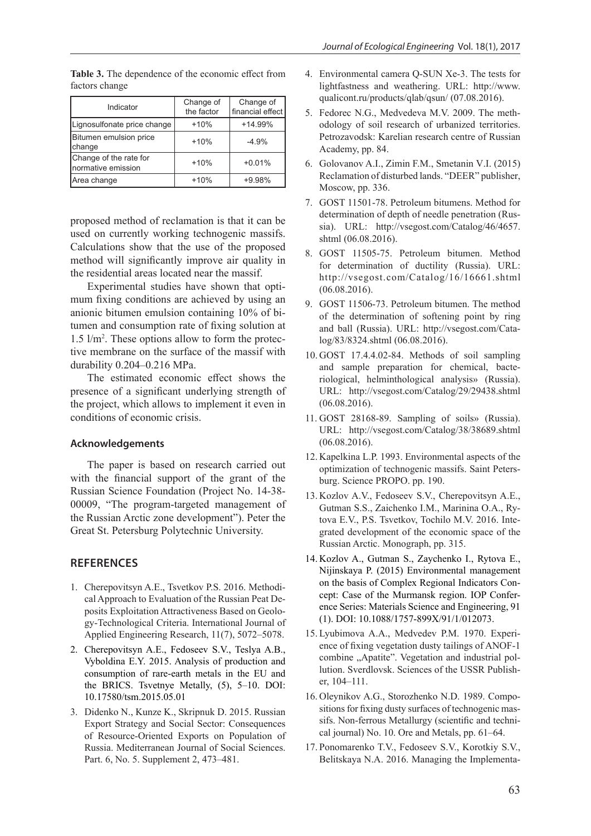| Indicator                                     | Change of<br>the factor | Change of<br>financial effect |
|-----------------------------------------------|-------------------------|-------------------------------|
| Lignosulfonate price change                   | $+10%$                  | $+14.99%$                     |
| <b>Bitumen emulsion price</b><br>change       | $+10%$                  | $-4.9%$                       |
| Change of the rate for<br>Inormative emission | $+10%$                  | $+0.01%$                      |
| Area change                                   | $+10%$                  | $+9.98%$                      |

**Table 3.** The dependence of the economic effect from factors change

proposed method of reclamation is that it can be used on currently working technogenic massifs. Calculations show that the use of the proposed method will significantly improve air quality in the residential areas located near the massif.

Experimental studies have shown that optimum fixing conditions are achieved by using an anionic bitumen emulsion containing 10% of bitumen and consumption rate of fixing solution at 1.5 l/m2 . These options allow to form the protective membrane on the surface of the massif with durability 0.204–0.216 MPa.

The estimated economic effect shows the presence of a significant underlying strength of the project, which allows to implement it even in conditions of economic crisis.

#### **Acknowledgements**

The paper is based on research carried out with the financial support of the grant of the Russian Science Foundation (Project No. 14-38- 00009, "The program-targeted management of the Russian Arctic zone development"). Peter the Great St. Petersburg Polytechnic University.

# **REFERENCES**

- 1. Cherepovitsyn A.E., Tsvetkov P.S. 2016. Methodical Approach to Evaluation of the Russian Peat Deposits Exploitation Attractiveness Based on Geology-Technological Criteria. International Journal of Applied Engineering Research, 11(7), 5072–5078.
- 2. Cherepovitsyn A.E., Fedoseev S.V., Teslya A.B., Vyboldina E.Y. 2015. Analysis of production and consumption of rare-earth metals in the EU and the BRICS. Tsvetnye Metally, (5), 5–10. DOI: 10.17580/tsm.2015.05.01
- 3. Didenko N., Kunze K., Skripnuk D. 2015. Russian Export Strategy and Social Sector: Consequences of Resource-Oriented Exports on Population of Russia. Mediterranean Journal of Social Sciences. Part. 6, No. 5. Supplement 2, 473–481.
- 4. Environmental camera Q-SUN Xe-3. The tests for lightfastness and weathering. URL: http://www. qualicont.ru/products/qlab/qsun/ (07.08.2016).
- 5. Fedorec N.G., Medvedeva M.V. 2009. The methodology of soil research of urbanized territories. Petrozavodsk: Karelian research centre of Russian Academy, pp. 84.
- 6. Golovanov A.I., Zimin F.M., Smetanin V.I. (2015) Reclamation of disturbed lands. "DEER" publisher, Moscow, pp. 336.
- 7. GOST 11501-78. Petroleum bitumens. Method for determination of depth of needle penetration (Russia). URL: http://vsegost.com/Catalog/46/4657. shtml (06.08.2016).
- 8. GOST 11505-75. Petroleum bitumen. Method for determination of ductility (Russia). URL: http://vsegost.com/Catalog/16/16661.shtml (06.08.2016).
- 9. GOST 11506-73. Petroleum bitumen. The method of the determination of softening point by ring and ball (Russia). URL: http://vsegost.com/Catalog/83/8324.shtml (06.08.2016).
- 10. GOST 17.4.4.02-84. Methods of soil sampling and sample preparation for chemical, bacteriological, helminthological analysis» (Russia). URL: http://vsegost.com/Catalog/29/29438.shtml (06.08.2016).
- 11. GOST 28168-89. Sampling of soils» (Russia). URL: http://vsegost.com/Catalog/38/38689.shtml (06.08.2016).
- 12. Kapelkina L.P. 1993. Environmental aspects of the optimization of technogenic massifs. Saint Petersburg. Science PROPO. pp. 190.
- 13. Kozlov A.V., Fedoseev S.V., Cherepovitsyn A.E., Gutman S.S., Zaichenko I.M., Marinina O.A., Rytova E.V., P.S. Tsvetkov, Tochilo M.V. 2016. Integrated development of the economic space of the Russian Arctic. Monograph, pp. 315.
- 14. Kozlov A., Gutman S., Zaychenko I., Rytova E., Nijinskaya P. (2015) Environmental management on the basis of Complex Regional Indicators Concept: Case of the Murmansk region. IOP Conference Series: Materials Science and Engineering, 91 (1). DOI: 10.1088/1757-899X/91/1/012073.
- 15. Lyubimova A.A., Medvedev P.M. 1970. Experience of fixing vegetation dusty tailings of ANOF-1 combine "Apatite". Vegetation and industrial pollution. Sverdlovsk. Sciences of the USSR Publisher, 104–111.
- 16. Oleynikov A.G., Storozhenko N.D. 1989. Compositions for fixing dusty surfaces of technogenic massifs. Non-ferrous Metallurgy (scientific and technical journal) No. 10. Ore and Metals, pp. 61–64.
- 17. Ponomarenko T.V., Fedoseev S.V., Korotkiy S.V., Belitskaya N.A. 2016. Managing the Implementa-